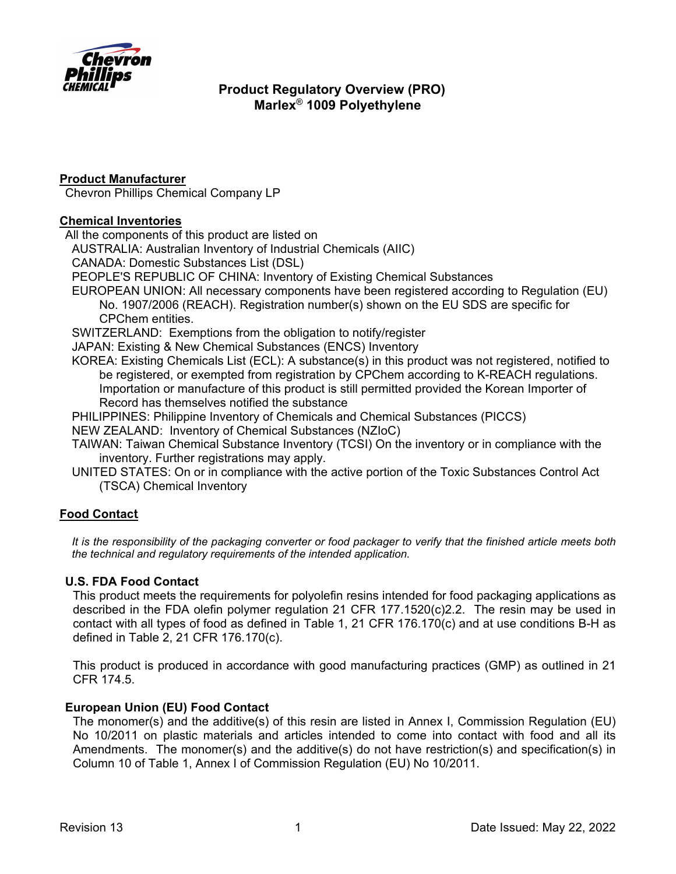

### **Product Manufacturer**

Chevron Phillips Chemical Company LP

### **Chemical Inventories**

All the components of this product are listed on

AUSTRALIA: Australian Inventory of Industrial Chemicals (AIIC)

CANADA: Domestic Substances List (DSL)

PEOPLE'S REPUBLIC OF CHINA: Inventory of Existing Chemical Substances

EUROPEAN UNION: All necessary components have been registered according to Regulation (EU) No. 1907/2006 (REACH). Registration number(s) shown on the EU SDS are specific for CPChem entities.

SWITZERLAND: Exemptions from the obligation to notify/register

JAPAN: Existing & New Chemical Substances (ENCS) Inventory

KOREA: Existing Chemicals List (ECL): A substance(s) in this product was not registered, notified to be registered, or exempted from registration by CPChem according to K-REACH regulations. Importation or manufacture of this product is still permitted provided the Korean Importer of Record has themselves notified the substance

PHILIPPINES: Philippine Inventory of Chemicals and Chemical Substances (PICCS)

NEW ZEALAND: Inventory of Chemical Substances (NZIoC)

- TAIWAN: Taiwan Chemical Substance Inventory (TCSI) On the inventory or in compliance with the inventory. Further registrations may apply.
- UNITED STATES: On or in compliance with the active portion of the Toxic Substances Control Act (TSCA) Chemical Inventory

## **Food Contact**

*It is the responsibility of the packaging converter or food packager to verify that the finished article meets both the technical and regulatory requirements of the intended application.* 

## **U.S. FDA Food Contact**

This product meets the requirements for polyolefin resins intended for food packaging applications as described in the FDA olefin polymer regulation 21 CFR 177.1520(c)2.2. The resin may be used in contact with all types of food as defined in Table 1, 21 CFR 176.170(c) and at use conditions B-H as defined in Table 2, 21 CFR 176.170(c).

This product is produced in accordance with good manufacturing practices (GMP) as outlined in 21 CFR 174.5.

## **European Union (EU) Food Contact**

The monomer(s) and the additive(s) of this resin are listed in Annex I, Commission Regulation (EU) No 10/2011 on plastic materials and articles intended to come into contact with food and all its Amendments. The monomer(s) and the additive(s) do not have restriction(s) and specification(s) in Column 10 of Table 1, Annex I of Commission Regulation (EU) No 10/2011.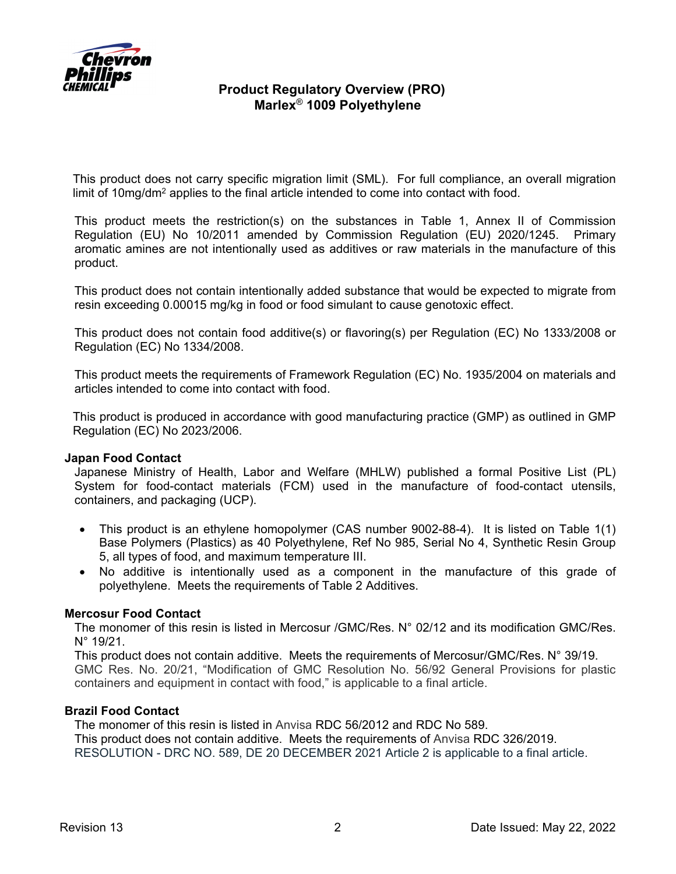

This product does not carry specific migration limit (SML). For full compliance, an overall migration limit of 10mg/dm2 applies to the final article intended to come into contact with food.

This product meets the restriction(s) on the substances in Table 1, Annex II of Commission Regulation (EU) No 10/2011 amended by Commission Regulation (EU) 2020/1245. Primary aromatic amines are not intentionally used as additives or raw materials in the manufacture of this product.

This product does not contain intentionally added substance that would be expected to migrate from resin exceeding 0.00015 mg/kg in food or food simulant to cause genotoxic effect.

This product does not contain food additive(s) or flavoring(s) per Regulation (EC) No 1333/2008 or Regulation (EC) No 1334/2008.

This product meets the requirements of Framework Regulation (EC) No. 1935/2004 on materials and articles intended to come into contact with food.

This product is produced in accordance with good manufacturing practice (GMP) as outlined in GMP Regulation (EC) No 2023/2006.

### **Japan Food Contact**

Japanese Ministry of Health, Labor and Welfare (MHLW) published a formal Positive List (PL) System for food-contact materials (FCM) used in the manufacture of food-contact utensils, containers, and packaging (UCP).

- This product is an ethylene homopolymer (CAS number 9002-88-4). It is listed on Table 1(1) Base Polymers (Plastics) as 40 Polyethylene, Ref No 985, Serial No 4, Synthetic Resin Group 5, all types of food, and maximum temperature III.
- No additive is intentionally used as a component in the manufacture of this grade of polyethylene. Meets the requirements of Table 2 Additives.

### **Mercosur Food Contact**

The monomer of this resin is listed in Mercosur /GMC/Res. N° 02/12 and its modification GMC/Res. N° 19/21.

This product does not contain additive. Meets the requirements of Mercosur/GMC/Res. N° 39/19. GMC Res. No. 20/21, "Modification of GMC Resolution No. 56/92 General Provisions for plastic containers and equipment in contact with food," is applicable to a final article.

#### **Brazil Food Contact**

The monomer of this resin is listed in Anvisa RDC 56/2012 and RDC No 589. This product does not contain additive. Meets the requirements of Anvisa RDC 326/2019. RESOLUTION - DRC NO. 589, DE 20 DECEMBER 2021 Article 2 is applicable to a final article.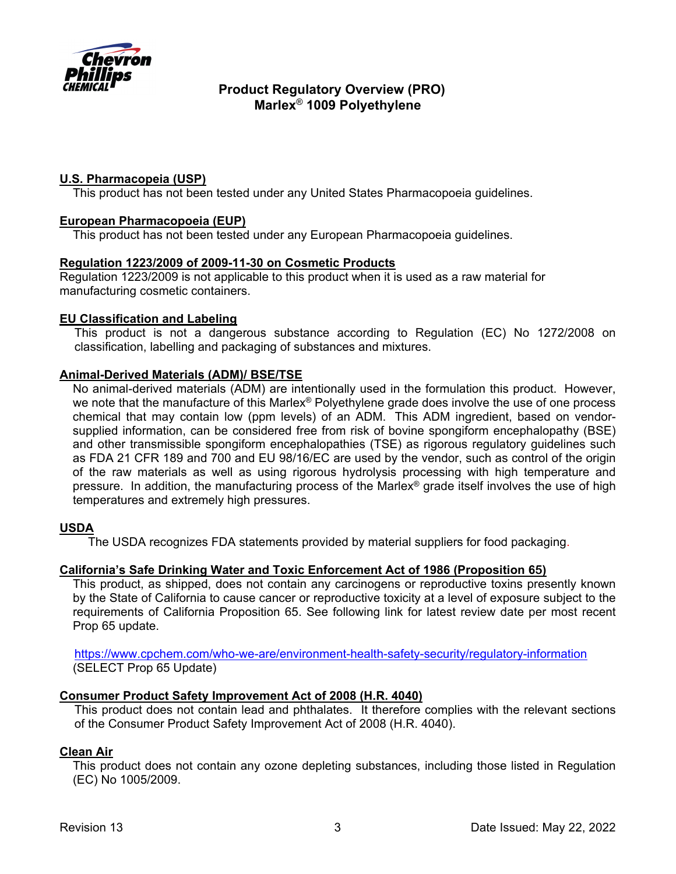

## **U.S. Pharmacopeia (USP)**

This product has not been tested under any United States Pharmacopoeia guidelines.

### **European Pharmacopoeia (EUP)**

This product has not been tested under any European Pharmacopoeia guidelines.

### **Regulation 1223/2009 of 2009-11-30 on Cosmetic Products**

Regulation 1223/2009 is not applicable to this product when it is used as a raw material for manufacturing cosmetic containers.

### **EU Classification and Labeling**

This product is not a dangerous substance according to Regulation (EC) No 1272/2008 on classification, labelling and packaging of substances and mixtures.

### **Animal-Derived Materials (ADM)/ BSE/TSE**

No animal-derived materials (ADM) are intentionally used in the formulation this product. However, we note that the manufacture of this Marlex<sup>®</sup> Polyethylene grade does involve the use of one process chemical that may contain low (ppm levels) of an ADM. This ADM ingredient, based on vendorsupplied information, can be considered free from risk of bovine spongiform encephalopathy (BSE) and other transmissible spongiform encephalopathies (TSE) as rigorous regulatory guidelines such as FDA 21 CFR 189 and 700 and EU 98/16/EC are used by the vendor, such as control of the origin of the raw materials as well as using rigorous hydrolysis processing with high temperature and pressure. In addition, the manufacturing process of the Marlex® grade itself involves the use of high temperatures and extremely high pressures.

## **USDA**

The USDA recognizes FDA statements provided by material suppliers for food packaging.

### **California's Safe Drinking Water and Toxic Enforcement Act of 1986 (Proposition 65)**

This product, as shipped, does not contain any carcinogens or reproductive toxins presently known by the State of California to cause cancer or reproductive toxicity at a level of exposure subject to the requirements of California Proposition 65. See following link for latest review date per most recent Prop 65 update.

https://www.cpchem.com/who-we-are/environment-health-safety-security/regulatory-information (SELECT Prop 65 Update)

## **Consumer Product Safety Improvement Act of 2008 (H.R. 4040)**

This product does not contain lead and phthalates. It therefore complies with the relevant sections of the Consumer Product Safety Improvement Act of 2008 (H.R. 4040).

### **Clean Air**

This product does not contain any ozone depleting substances, including those listed in Regulation (EC) No 1005/2009.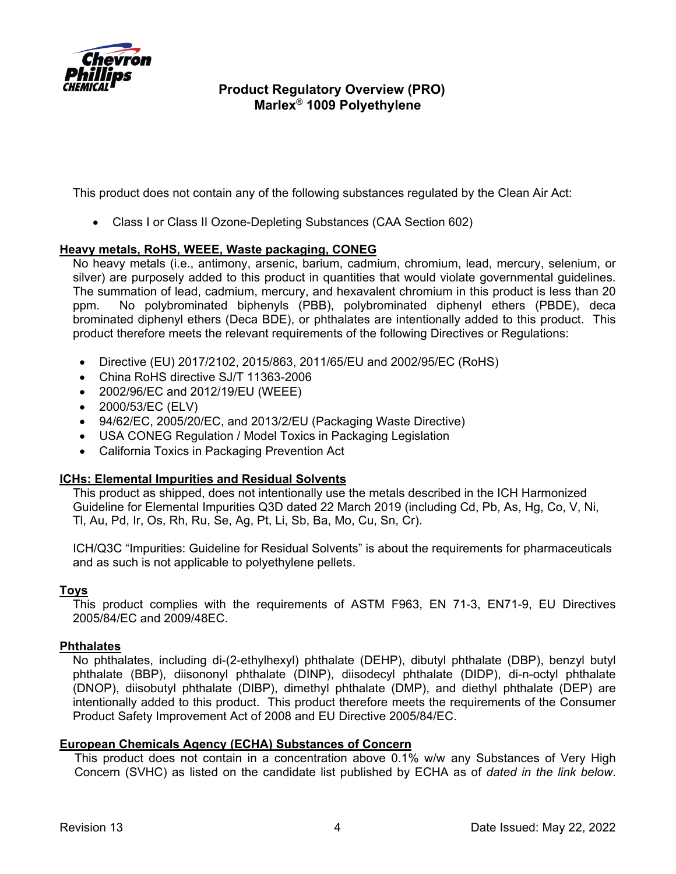

This product does not contain any of the following substances regulated by the Clean Air Act:

Class I or Class II Ozone-Depleting Substances (CAA Section 602)

### **Heavy metals, RoHS, WEEE, Waste packaging, CONEG**

No heavy metals (i.e., antimony, arsenic, barium, cadmium, chromium, lead, mercury, selenium, or silver) are purposely added to this product in quantities that would violate governmental guidelines. The summation of lead, cadmium, mercury, and hexavalent chromium in this product is less than 20 ppm. No polybrominated biphenyls (PBB), polybrominated diphenyl ethers (PBDE), deca brominated diphenyl ethers (Deca BDE), or phthalates are intentionally added to this product. This product therefore meets the relevant requirements of the following Directives or Regulations:

- Directive (EU) 2017/2102, 2015/863, 2011/65/EU and 2002/95/EC (RoHS)
- China RoHS directive SJ/T 11363-2006
- 2002/96/EC and 2012/19/EU (WEEE)
- 2000/53/EC (ELV)
- 94/62/EC, 2005/20/EC, and 2013/2/EU (Packaging Waste Directive)
- USA CONEG Regulation / Model Toxics in Packaging Legislation
- California Toxics in Packaging Prevention Act

### **ICHs: Elemental Impurities and Residual Solvents**

This product as shipped, does not intentionally use the metals described in the ICH Harmonized Guideline for Elemental Impurities Q3D dated 22 March 2019 (including Cd, Pb, As, Hg, Co, V, Ni, Tl, Au, Pd, Ir, Os, Rh, Ru, Se, Ag, Pt, Li, Sb, Ba, Mo, Cu, Sn, Cr).

ICH/Q3C "Impurities: Guideline for Residual Solvents" is about the requirements for pharmaceuticals and as such is not applicable to polyethylene pellets.

### **Toys**

This product complies with the requirements of ASTM F963, EN 71-3, EN71-9, EU Directives 2005/84/EC and 2009/48EC.

### **Phthalates**

No phthalates, including di-(2-ethylhexyl) phthalate (DEHP), dibutyl phthalate (DBP), benzyl butyl phthalate (BBP), diisononyl phthalate (DINP), diisodecyl phthalate (DIDP), di-n-octyl phthalate (DNOP), diisobutyl phthalate (DIBP), dimethyl phthalate (DMP), and diethyl phthalate (DEP) are intentionally added to this product. This product therefore meets the requirements of the Consumer Product Safety Improvement Act of 2008 and EU Directive 2005/84/EC.

### **European Chemicals Agency (ECHA) Substances of Concern**

This product does not contain in a concentration above 0.1% w/w any Substances of Very High Concern (SVHC) as listed on the candidate list published by ECHA as of *dated in the link below*.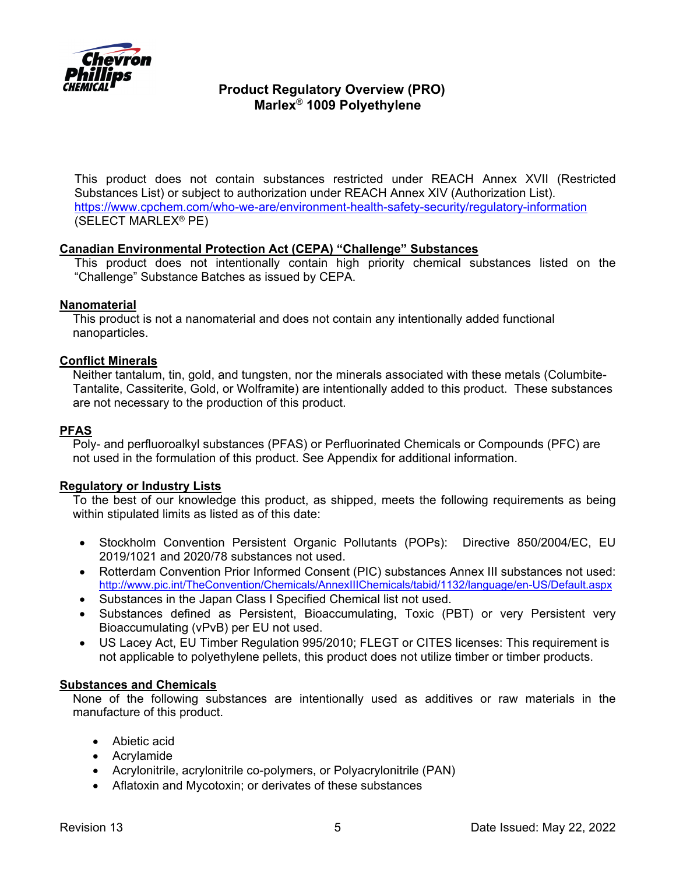

This product does not contain substances restricted under REACH Annex XVII (Restricted Substances List) or subject to authorization under REACH Annex XIV (Authorization List). https://www.cpchem.com/who-we-are/environment-health-safety-security/regulatory-information (SELECT MARLEX® PE)

### **Canadian Environmental Protection Act (CEPA) "Challenge" Substances**

This product does not intentionally contain high priority chemical substances listed on the "Challenge" Substance Batches as issued by CEPA.

### **Nanomaterial**

This product is not a nanomaterial and does not contain any intentionally added functional nanoparticles.

### **Conflict Minerals**

Neither tantalum, tin, gold, and tungsten, nor the minerals associated with these metals (Columbite-Tantalite, Cassiterite, Gold, or Wolframite) are intentionally added to this product. These substances are not necessary to the production of this product.

## **PFAS**

Poly- and perfluoroalkyl substances (PFAS) or Perfluorinated Chemicals or Compounds (PFC) are not used in the formulation of this product. See Appendix for additional information.

### **Regulatory or Industry Lists**

To the best of our knowledge this product, as shipped, meets the following requirements as being within stipulated limits as listed as of this date:

- Stockholm Convention Persistent Organic Pollutants (POPs): Directive 850/2004/EC, EU 2019/1021 and 2020/78 substances not used.
- Rotterdam Convention Prior Informed Consent (PIC) substances Annex III substances not used: http://www.pic.int/TheConvention/Chemicals/AnnexIIIChemicals/tabid/1132/language/en-US/Default.aspx
- Substances in the Japan Class I Specified Chemical list not used.
- Substances defined as Persistent, Bioaccumulating, Toxic (PBT) or very Persistent very Bioaccumulating (vPvB) per EU not used.
- US Lacey Act, EU Timber Regulation 995/2010; FLEGT or CITES licenses: This requirement is not applicable to polyethylene pellets, this product does not utilize timber or timber products.

#### **Substances and Chemicals**

None of the following substances are intentionally used as additives or raw materials in the manufacture of this product.

- Abietic acid
- Acrylamide
- Acrylonitrile, acrylonitrile co-polymers, or Polyacrylonitrile (PAN)
- Aflatoxin and Mycotoxin; or derivates of these substances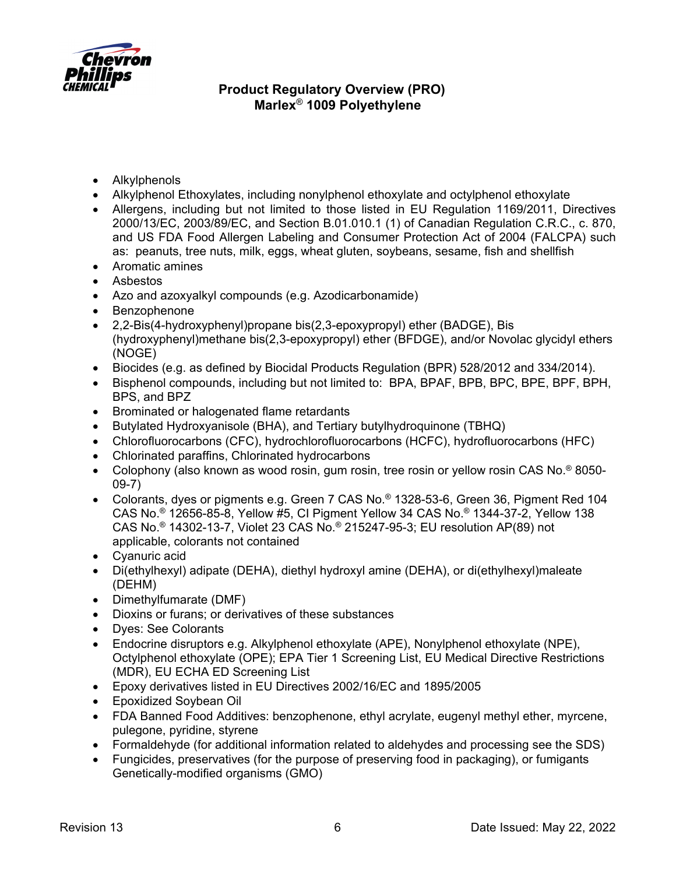

- Alkylphenols
- Alkylphenol Ethoxylates, including nonylphenol ethoxylate and octylphenol ethoxylate
- Allergens, including but not limited to those listed in EU Regulation 1169/2011, Directives 2000/13/EC, 2003/89/EC, and Section B.01.010.1 (1) of Canadian Regulation C.R.C., c. 870, and US FDA Food Allergen Labeling and Consumer Protection Act of 2004 (FALCPA) such as: peanuts, tree nuts, milk, eggs, wheat gluten, soybeans, sesame, fish and shellfish
- Aromatic amines
- Asbestos
- Azo and azoxyalkyl compounds (e.g. Azodicarbonamide)
- Benzophenone
- 2,2-Bis(4-hydroxyphenyl)propane bis(2,3-epoxypropyl) ether (BADGE), Bis (hydroxyphenyl)methane bis(2,3-epoxypropyl) ether (BFDGE), and/or Novolac glycidyl ethers (NOGE)
- Biocides (e.g. as defined by Biocidal Products Regulation (BPR) 528/2012 and 334/2014).
- Bisphenol compounds, including but not limited to: BPA, BPAF, BPB, BPC, BPE, BPF, BPH, BPS, and BPZ
- Brominated or halogenated flame retardants
- Butylated Hydroxyanisole (BHA), and Tertiary butylhydroquinone (TBHQ)
- Chlorofluorocarbons (CFC), hydrochlorofluorocarbons (HCFC), hydrofluorocarbons (HFC)
- Chlorinated paraffins, Chlorinated hydrocarbons
- Colophony (also known as wood rosin, gum rosin, tree rosin or yellow rosin CAS No.<sup>®</sup> 8050-09-7)
- Colorants, dyes or pigments e.g. Green 7 CAS No.® 1328-53-6, Green 36, Pigment Red 104 CAS No.® 12656-85-8, Yellow #5, CI Pigment Yellow 34 CAS No.® 1344-37-2, Yellow 138 CAS No.® 14302-13-7, Violet 23 CAS No.® 215247-95-3; EU resolution AP(89) not applicable, colorants not contained
- Cyanuric acid
- Di(ethylhexyl) adipate (DEHA), diethyl hydroxyl amine (DEHA), or di(ethylhexyl)maleate (DEHM)
- Dimethylfumarate (DMF)
- Dioxins or furans; or derivatives of these substances
- Dyes: See Colorants
- Endocrine disruptors e.g. Alkylphenol ethoxylate (APE), Nonylphenol ethoxylate (NPE), Octylphenol ethoxylate (OPE); EPA Tier 1 Screening List, EU Medical Directive Restrictions (MDR), EU ECHA ED Screening List
- Epoxy derivatives listed in EU Directives 2002/16/EC and 1895/2005
- Epoxidized Soybean Oil
- FDA Banned Food Additives: benzophenone, ethyl acrylate, eugenyl methyl ether, myrcene, pulegone, pyridine, styrene
- Formaldehyde (for additional information related to aldehydes and processing see the SDS)
- Fungicides, preservatives (for the purpose of preserving food in packaging), or fumigants Genetically-modified organisms (GMO)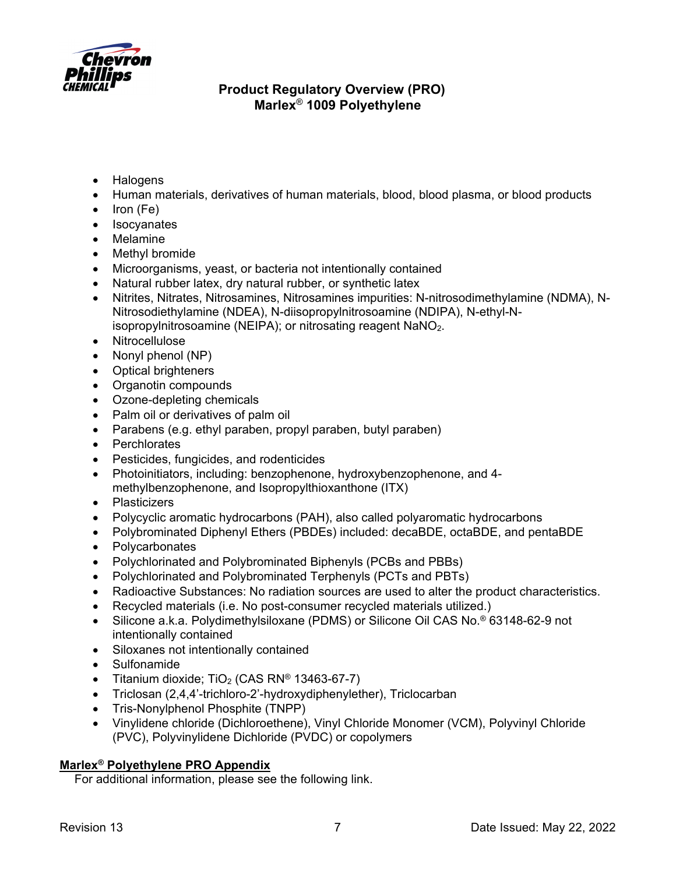

- Halogens
- Human materials, derivatives of human materials, blood, blood plasma, or blood products
- $\bullet$  Iron (Fe)
- Isocyanates
- Melamine
- Methyl bromide
- Microorganisms, yeast, or bacteria not intentionally contained
- Natural rubber latex, dry natural rubber, or synthetic latex
- Nitrites, Nitrates, Nitrosamines, Nitrosamines impurities: N-nitrosodimethylamine (NDMA), N-Nitrosodiethylamine (NDEA), N-diisopropylnitrosoamine (NDIPA), N-ethyl-Nisopropylnitrosoamine (NEIPA); or nitrosating reagent  $NaNO<sub>2</sub>$ .
- Nitrocellulose
- Nonyl phenol  $(NP)$
- Optical brighteners
- Organotin compounds
- Ozone-depleting chemicals
- Palm oil or derivatives of palm oil
- Parabens (e.g. ethyl paraben, propyl paraben, butyl paraben)
- Perchlorates
- Pesticides, fungicides, and rodenticides
- Photoinitiators, including: benzophenone, hydroxybenzophenone, and 4 methylbenzophenone, and Isopropylthioxanthone (ITX)
- Plasticizers
- Polycyclic aromatic hydrocarbons (PAH), also called polyaromatic hydrocarbons
- Polybrominated Diphenyl Ethers (PBDEs) included: decaBDE, octaBDE, and pentaBDE
- Polycarbonates
- Polychlorinated and Polybrominated Biphenyls (PCBs and PBBs)
- Polychlorinated and Polybrominated Terphenyls (PCTs and PBTs)
- Radioactive Substances: No radiation sources are used to alter the product characteristics.
- Recycled materials (i.e. No post-consumer recycled materials utilized.)
- Silicone a.k.a. Polydimethylsiloxane (PDMS) or Silicone Oil CAS No.® 63148-62-9 not intentionally contained
- Siloxanes not intentionally contained
- Sulfonamide
- Titanium dioxide;  $TiO<sub>2</sub>$  (CAS RN<sup>®</sup> 13463-67-7)
- Triclosan (2,4,4'-trichloro-2'-hydroxydiphenylether), Triclocarban
- Tris-Nonylphenol Phosphite (TNPP)
- Vinylidene chloride (Dichloroethene), Vinyl Chloride Monomer (VCM), Polyvinyl Chloride (PVC), Polyvinylidene Dichloride (PVDC) or copolymers

## **Marlex® Polyethylene PRO Appendix**

For additional information, please see the following link.